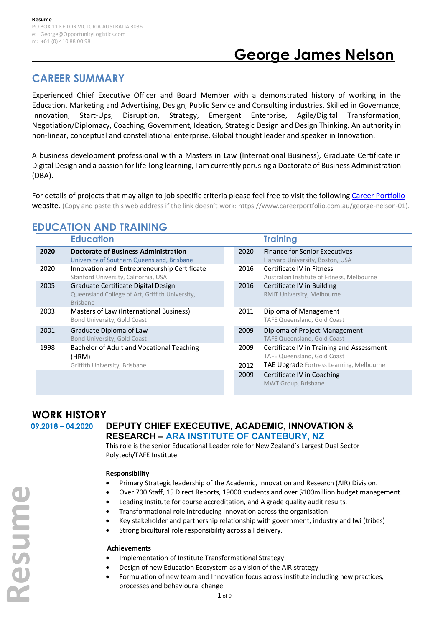# **George James Nelson**

## **CAREER SUMMARY**

Experienced Chief Executive Officer and Board Member with a demonstrated history of working in the Education, Marketing and Advertising, Design, Public Service and Consulting industries. Skilled in Governance, Innovation, Start-Ups, Disruption, Strategy, Emergent Enterprise, Agile/Digital Transformation, Negotiation/Diplomacy, Coaching, Government, Ideation, Strategic Design and Design Thinking. An authority in non-linear, conceptual and constellational enterprise. Global thought leader and speaker in Innovation.

A business development professional with a Masters in Law (International Business), Graduate Certificate in Digital Design and a passion for life-long learning, I am currently perusing a Doctorate of Business Administration (DBA).

For details of projects that may align to job specific criteria please feel free to visit the following [Career Portfolio](https://www.careerportfolio.com.au/george-nelson-01) website. (Copy and paste this web address if the link doesn't work: https://www.careerportfolio.com.au/george-nelson-01).

|      | <b>Education</b>                                                                                          |              | <b>Training</b>                                                                                                             |
|------|-----------------------------------------------------------------------------------------------------------|--------------|-----------------------------------------------------------------------------------------------------------------------------|
| 2020 | <b>Doctorate of Business Administration</b><br>University of Southern Queensland, Brisbane                | 2020         | <b>Finance for Senior Executives</b><br>Harvard University, Boston, USA                                                     |
| 2020 | Innovation and Entrepreneurship Certificate<br>Stanford University, California, USA                       | 2016         | Certificate IV in Fitness<br>Australian Institute of Fitness, Melbourne                                                     |
| 2005 | Graduate Certificate Digital Design<br>Queensland College of Art, Griffith University,<br><b>Brisbane</b> | 2016         | Certificate IV in Building<br><b>RMIT University, Melbourne</b>                                                             |
| 2003 | Masters of Law (International Business)<br>Bond University, Gold Coast                                    | 2011         | Diploma of Management<br>TAFE Queensland, Gold Coast                                                                        |
| 2001 | Graduate Diploma of Law<br>Bond University, Gold Coast                                                    | 2009         | Diploma of Project Management<br>TAFE Queensland, Gold Coast                                                                |
| 1998 | Bachelor of Adult and Vocational Teaching<br>(HRM)<br>Griffith University, Brisbane                       | 2009<br>2012 | Certificate IV in Training and Assessment<br><b>TAFE Queensland, Gold Coast</b><br>TAE Upgrade Fortress Learning, Melbourne |
|      |                                                                                                           | 2009         | Certificate IV in Coaching<br>MWT Group, Brisbane                                                                           |

## **EDUCATION AND TRAINING**

## **WORK HISTORY**

**Resume**

Resume

#### **09.2018 – 04.2020 DEPUTY CHIEF EXECEUTIVE, ACADEMIC, INNOVATION & RESEARCH – ARA INSTITUTE OF CANTEBURY, NZ**

This role is the senior Educational Leader role for New Zealand's Largest Dual Sector Polytech/TAFE Institute.

#### **Responsibility**

- Primary Strategic leadership of the Academic, Innovation and Research (AIR) Division.
- Over 700 Staff, 15 Direct Reports, 19000 students and over \$100million budget management.
	- Leading Institute for course accreditation, and A grade quality audit results.
- Transformational role introducing Innovation across the organisation
- Key stakeholder and partnership relationship with government, industry and Iwi (tribes)
- Strong bicultural role responsibility across all delivery.

#### **Achievements**

- Implementation of Institute Transformational Strategy
- Design of new Education Ecosystem as a vision of the AIR strategy
- Formulation of new team and Innovation focus across institute including new practices, processes and behavioural change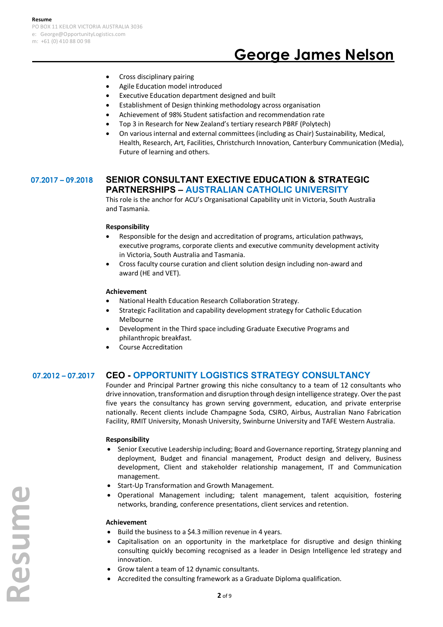# **George James Nelson**

- Cross disciplinary pairing
- Agile Education model introduced
- Executive Education department designed and built
- Establishment of Design thinking methodology across organisation
- Achievement of 98% Student satisfaction and recommendation rate
- Top 3 in Research for New Zealand's tertiary research PBRF (Polytech)
- On various internal and external committees (including as Chair) Sustainability, Medical, Health, Research, Art, Facilities, Christchurch Innovation, Canterbury Communication (Media), Future of learning and others.

#### **07.2017 – 09.2018 SENIOR CONSULTANT EXECTIVE EDUCATION & STRATEGIC PARTNERSHIPS – AUSTRALIAN CATHOLIC UNIVERSITY**

This role is the anchor for ACU's Organisational Capability unit in Victoria, South Australia and Tasmania.

#### **Responsibility**

- Responsible for the design and accreditation of programs, articulation pathways, executive programs, corporate clients and executive community development activity in Victoria, South Australia and Tasmania.
- Cross faculty course curation and client solution design including non-award and award (HE and VET).

#### **Achievement**

- National Health Education Research Collaboration Strategy.
- Strategic Facilitation and capability development strategy for Catholic Education Melbourne
- Development in the Third space including Graduate Executive Programs and philanthropic breakfast.
- Course Accreditation

#### **07.2012 – 07.2017 CEO - OPPORTUNITY LOGISTICS STRATEGY CONSULTANCY**

Founder and Principal Partner growing this niche consultancy to a team of 12 consultants who drive innovation, transformation and disruption through design intelligence strategy. Over the past five years the consultancy has grown serving government, education, and private enterprise nationally. Recent clients include Champagne Soda, CSIRO, Airbus, Australian Nano Fabrication Facility, RMIT University, Monash University, Swinburne University and TAFE Western Australia.

#### **Responsibility**

- Senior Executive Leadership including; Board and Governance reporting, Strategy planning and deployment, Budget and financial management, Product design and delivery, Business development, Client and stakeholder relationship management, IT and Communication management.
- Start-Up Transformation and Growth Management.
- Operational Management including; talent management, talent acquisition, fostering networks, branding, conference presentations, client services and retention.

#### **Achievement**

- Build the business to a \$4.3 million revenue in 4 years.
- Capitalisation on an opportunity in the marketplace for disruptive and design thinking consulting quickly becoming recognised as a leader in Design Intelligence led strategy and innovation.
- Grow talent a team of 12 dynamic consultants.
- Accredited the consulting framework as a Graduate Diploma qualification.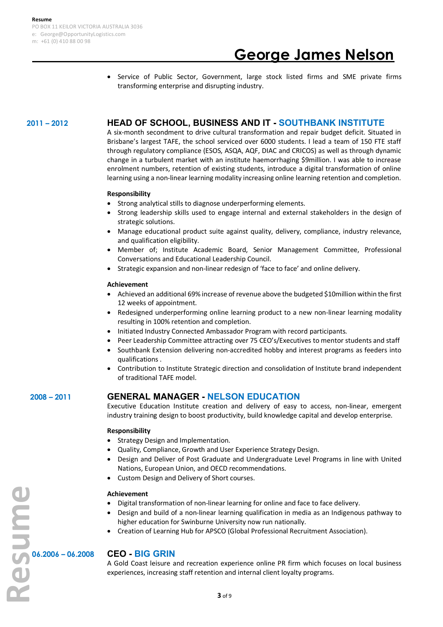# **George James Nelson**

• Service of Public Sector, Government, large stock listed firms and SME private firms transforming enterprise and disrupting industry.

#### **2011 – 2012 HEAD OF SCHOOL, BUSINESS AND IT - SOUTHBANK INSTITUTE**

A six-month secondment to drive cultural transformation and repair budget deficit. Situated in Brisbane's largest TAFE, the school serviced over 6000 students. I lead a team of 150 FTE staff through regulatory compliance (ESOS, ASQA, AQF, DIAC and CRICOS) as well as through dynamic change in a turbulent market with an institute haemorrhaging \$9million. I was able to increase enrolment numbers, retention of existing students, introduce a digital transformation of online learning using a non-linear learning modality increasing online learning retention and completion.

#### **Responsibility**

- Strong analytical stills to diagnose underperforming elements.
- Strong leadership skills used to engage internal and external stakeholders in the design of strategic solutions.
- Manage educational product suite against quality, delivery, compliance, industry relevance, and qualification eligibility.
- Member of; Institute Academic Board, Senior Management Committee, Professional Conversations and Educational Leadership Council.
- Strategic expansion and non-linear redesign of 'face to face' and online delivery.

#### **Achievement**

- Achieved an additional 69% increase of revenue above the budgeted \$10million within the first 12 weeks of appointment.
- Redesigned underperforming online learning product to a new non-linear learning modality resulting in 100% retention and completion.
- Initiated Industry Connected Ambassador Program with record participants.
- Peer Leadership Committee attracting over 75 CEO's/Executives to mentor students and staff
- Southbank Extension delivering non-accredited hobby and interest programs as feeders into qualifications .
- Contribution to Institute Strategic direction and consolidation of Institute brand independent of traditional TAFE model.

### **2008 – 2011 GENERAL MANAGER - NELSON EDUCATION**

Executive Education Institute creation and delivery of easy to access, non-linear, emergent industry training design to boost productivity, build knowledge capital and develop enterprise.

#### **Responsibility**

- Strategy Design and Implementation.
- Quality, Compliance, Growth and User Experience Strategy Design.
- Design and Deliver of Post Graduate and Undergraduate Level Programs in line with United Nations, European Union, and OECD recommendations.
- Custom Design and Delivery of Short courses.

#### **Achievement**

- Digital transformation of non-linear learning for online and face to face delivery.
- Design and build of a non-linear learning qualification in media as an Indigenous pathway to higher education for Swinburne University now run nationally.
- Creation of Learning Hub for APSCO (Global Professional Recruitment Association).

A Gold Coast leisure and recreation experience online PR firm which focuses on local business experiences, increasing staff retention and internal client loyalty programs.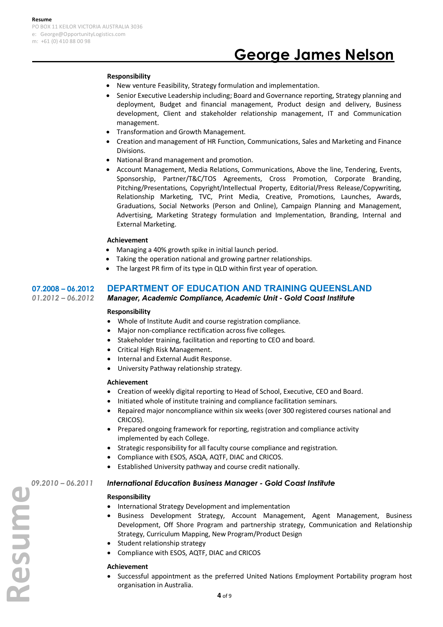#### **Responsibility**

- New venture Feasibility, Strategy formulation and implementation.
- Senior Executive Leadership including; Board and Governance reporting, Strategy planning and deployment, Budget and financial management, Product design and delivery, Business development, Client and stakeholder relationship management, IT and Communication management.
- Transformation and Growth Management.
- Creation and management of HR Function, Communications, Sales and Marketing and Finance Divisions.
- National Brand management and promotion.
- Account Management, Media Relations, Communications, Above the line, Tendering, Events, Sponsorship, Partner/T&C/TOS Agreements, Cross Promotion, Corporate Branding, Pitching/Presentations, Copyright/Intellectual Property, Editorial/Press Release/Copywriting, Relationship Marketing, TVC, Print Media, Creative, Promotions, Launches, Awards, Graduations, Social Networks (Person and Online), Campaign Planning and Management, Advertising, Marketing Strategy formulation and Implementation, Branding, Internal and External Marketing.

#### **Achievement**

- Managing a 40% growth spike in initial launch period.
- Taking the operation national and growing partner relationships.
- The largest PR firm of its type in QLD within first year of operation.

### **07.2008 – 06.2012 DEPARTMENT OF EDUCATION AND TRAINING QUEENSLAND**

#### *01.2012 – 06.2012 Manager, Academic Compliance, Academic Unit - Gold Coast Institute*

#### **Responsibility**

- Whole of Institute Audit and course registration compliance.
- Major non-compliance rectification across five colleges.
- Stakeholder training, facilitation and reporting to CEO and board.
- Critical High Risk Management.
- Internal and External Audit Response.
- University Pathway relationship strategy.

#### **Achievement**

- Creation of weekly digital reporting to Head of School, Executive, CEO and Board.
- Initiated whole of institute training and compliance facilitation seminars.
- Repaired major noncompliance within six weeks (over 300 registered courses national and CRICOS).
- Prepared ongoing framework for reporting, registration and compliance activity implemented by each College.
- Strategic responsibility for all faculty course compliance and registration.
- Compliance with ESOS, ASQA, AQTF, DIAC and CRICOS.
- Established University pathway and course credit nationally.

#### **Responsibility**

- International Strategy Development and implementation
- **199.2010 06.2011 International Education Business Manager Gold Coast Institute**<br> **Responsibility**<br>
 International Strategy Development and implementation<br>
 Business Development Strategy, Account Management, Agent<br> • Business Development Strategy, Account Management, Agent Management, Business Development, Off Shore Program and partnership strategy, Communication and Relationship Strategy, Curriculum Mapping, New Program/Product Design
	- Student relationship strategy
	- Compliance with ESOS, AQTF, DIAC and CRICOS

#### **Achievement**

• Successful appointment as the preferred United Nations Employment Portability program host organisation in Australia.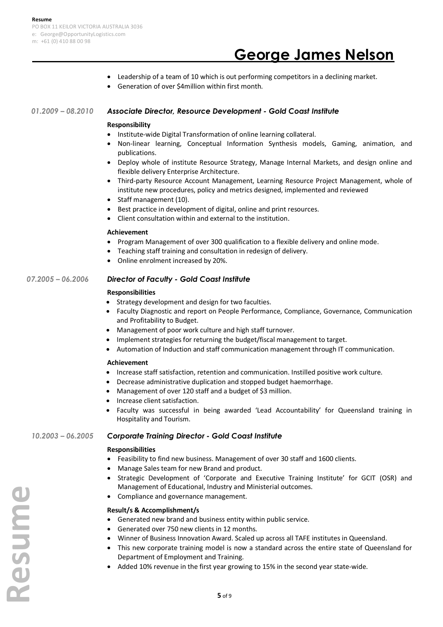# **George James Nelson**

- Leadership of a team of 10 which is out performing competitors in a declining market.
- Generation of over \$4million within first month.

#### *01.2009 – 08.2010 Associate Director, Resource Development - Gold Coast Institute*

#### **Responsibility**

- Institute-wide Digital Transformation of online learning collateral.
- Non-linear learning, Conceptual Information Synthesis models, Gaming, animation, and publications.
- Deploy whole of institute Resource Strategy, Manage Internal Markets, and design online and flexible delivery Enterprise Architecture.
- Third-party Resource Account Management, Learning Resource Project Management, whole of institute new procedures, policy and metrics designed, implemented and reviewed
- Staff management (10).
- Best practice in development of digital, online and print resources.
- Client consultation within and external to the institution.

#### **Achievement**

- Program Management of over 300 qualification to a flexible delivery and online mode.
- Teaching staff training and consultation in redesign of delivery.
- Online enrolment increased by 20%.

#### *07.2005 – 06.2006 Director of Faculty - Gold Coast Institute*

#### **Responsibilities**

- Strategy development and design for two faculties.
- Faculty Diagnostic and report on People Performance, Compliance, Governance, Communication and Profitability to Budget.
- Management of poor work culture and high staff turnover.
- Implement strategies for returning the budget/fiscal management to target.
- Automation of Induction and staff communication management through IT communication.

#### **Achievement**

- Increase staff satisfaction, retention and communication. Instilled positive work culture.
- Decrease administrative duplication and stopped budget haemorrhage.
- Management of over 120 staff and a budget of \$3 million.
- Increase client satisfaction.
- Faculty was successful in being awarded 'Lead Accountability' for Queensland training in Hospitality and Tourism.

#### *10.2003 – 06.2005 Corporate Training Director - Gold Coast Institute*

#### **Responsibilities**

- Feasibility to find new business. Management of over 30 staff and 1600 clients.
- Manage Sales team for new Brand and product.
- Strategic Development of 'Corporate and Executive Training Institute' for GCIT (OSR) and Management of Educational, Industry and Ministerial outcomes.
- Compliance and governance management.

#### **Result/s & Accomplishment/s**

- Generated new brand and business entity within public service.
- Generated over 750 new clients in 12 months.
- Winner of Business Innovation Award. Scaled up across all TAFE institutes in Queensland.
- This new corporate training model is now a standard across the entire state of Queensland for Department of Employment and Training.
- Added 10% revenue in the first year growing to 15% in the second year state-wide.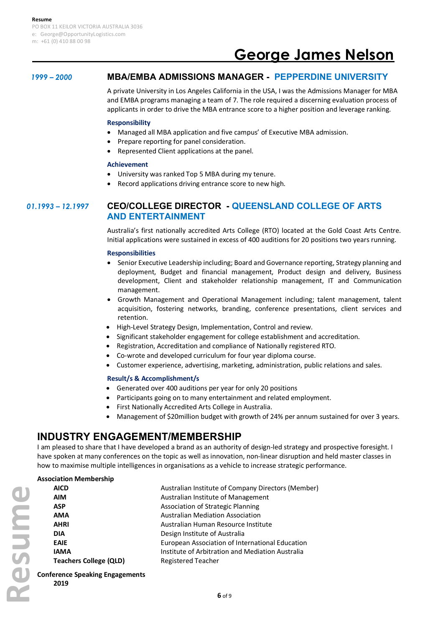# **George James Nelson**

## *1999 – 2000* **MBA/EMBA ADMISSIONS MANAGER - PEPPERDINE UNIVERSITY**

A private University in Los Angeles California in the USA, I was the Admissions Manager for MBA and EMBA programs managing a team of 7. The role required a discerning evaluation process of applicants in order to drive the MBA entrance score to a higher position and leverage ranking.

#### **Responsibility**

- Managed all MBA application and five campus' of Executive MBA admission.
- Prepare reporting for panel consideration.
- Represented Client applications at the panel.

#### **Achievement**

- University was ranked Top 5 MBA during my tenure.
- Record applications driving entrance score to new high.

#### *01.1993 – 12.1997* **CEO/COLLEGE DIRECTOR - QUEENSLAND COLLEGE OF ARTS AND ENTERTAINMENT**

Australia's first nationally accredited Arts College (RTO) located at the Gold Coast Arts Centre. Initial applications were sustained in excess of 400 auditions for 20 positions two years running.

#### **Responsibilities**

- Senior Executive Leadership including; Board and Governance reporting, Strategy planning and deployment, Budget and financial management, Product design and delivery, Business development, Client and stakeholder relationship management, IT and Communication management.
- Growth Management and Operational Management including; talent management, talent acquisition, fostering networks, branding, conference presentations, client services and retention.
- High-Level Strategy Design, Implementation, Control and review.
- Significant stakeholder engagement for college establishment and accreditation.
- Registration, Accreditation and compliance of Nationally registered RTO.
- Co-wrote and developed curriculum for four year diploma course.
- Customer experience, advertising, marketing, administration, public relations and sales.

#### **Result/s & Accomplishment/s**

- Generated over 400 auditions per year for only 20 positions
- Participants going on to many entertainment and related employment.
- First Nationally Accredited Arts College in Australia.
- Management of \$20million budget with growth of 24% per annum sustained for over 3 years.

## **INDUSTRY ENGAGEMENT/MEMBERSHIP**

I am pleased to share that I have developed a brand as an authority of design-led strategy and prospective foresight. I have spoken at many conferences on the topic as well as innovation, non-linear disruption and held master classes in how to maximise multiple intelligences in organisations as a vehicle to increase strategic performance.

#### **Association Membership**

| <b>AICD</b>                   | Australian Institute of Company Directors (Member) |
|-------------------------------|----------------------------------------------------|
| AIM                           | Australian Institute of Management                 |
| ASP                           | Association of Strategic Planning                  |
| AMA                           | <b>Australian Mediation Association</b>            |
| <b>AHRI</b>                   | Australian Human Resource Institute                |
| <b>DIA</b>                    | Design Institute of Australia                      |
| <b>EAIE</b>                   | European Association of International Education    |
| <b>IAMA</b>                   | Institute of Arbitration and Mediation Australia   |
| <b>Teachers College (QLD)</b> | <b>Registered Teacher</b>                          |
|                               |                                                    |

**Conference Speaking Engagements**

**2019**

**Resume**

Sumsex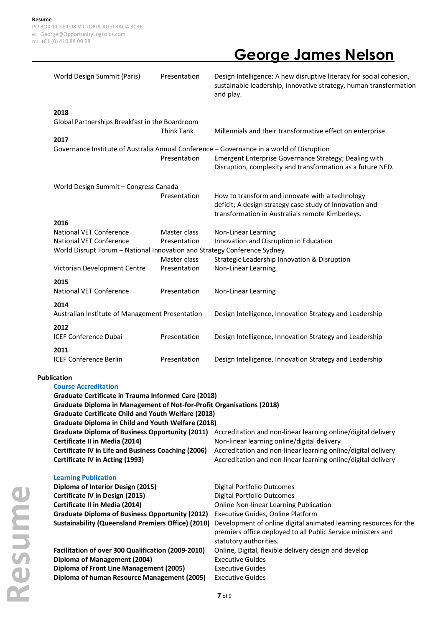# **George James Nelson**

| World Design Summit (Paris)                                                                                                                                                                                                                                                                                                                                                                                                                                                                                                                                                                                                                                                                                                                       | Presentation                                                   | Design Intelligence: A new disruptive literacy for social cohesion,<br>sustainable leadership, innovative strategy, human transformation<br>and play.                                                                                                                                                                                                                                                                                                                                                                                                                                                      |  |  |
|---------------------------------------------------------------------------------------------------------------------------------------------------------------------------------------------------------------------------------------------------------------------------------------------------------------------------------------------------------------------------------------------------------------------------------------------------------------------------------------------------------------------------------------------------------------------------------------------------------------------------------------------------------------------------------------------------------------------------------------------------|----------------------------------------------------------------|------------------------------------------------------------------------------------------------------------------------------------------------------------------------------------------------------------------------------------------------------------------------------------------------------------------------------------------------------------------------------------------------------------------------------------------------------------------------------------------------------------------------------------------------------------------------------------------------------------|--|--|
| 2018                                                                                                                                                                                                                                                                                                                                                                                                                                                                                                                                                                                                                                                                                                                                              | <b>Think Tank</b>                                              | Millennials and their transformative effect on enterprise.                                                                                                                                                                                                                                                                                                                                                                                                                                                                                                                                                 |  |  |
|                                                                                                                                                                                                                                                                                                                                                                                                                                                                                                                                                                                                                                                                                                                                                   | Presentation                                                   | Emergent Enterprise Governance Strategy; Dealing with<br>Disruption, complexity and transformation as a future NED.                                                                                                                                                                                                                                                                                                                                                                                                                                                                                        |  |  |
|                                                                                                                                                                                                                                                                                                                                                                                                                                                                                                                                                                                                                                                                                                                                                   | Presentation                                                   | How to transform and innovate with a technology<br>deficit; A design strategy case study of innovation and<br>transformation in Australia's remote Kimberleys.                                                                                                                                                                                                                                                                                                                                                                                                                                             |  |  |
| <b>National VET Conference</b><br><b>National VET Conference</b>                                                                                                                                                                                                                                                                                                                                                                                                                                                                                                                                                                                                                                                                                  | Master class<br>Presentation<br>Master class                   | Non-Linear Learning<br>Innovation and Disruption in Education<br>Strategic Leadership Innovation & Disruption                                                                                                                                                                                                                                                                                                                                                                                                                                                                                              |  |  |
| Victorian Development Centre<br>2015                                                                                                                                                                                                                                                                                                                                                                                                                                                                                                                                                                                                                                                                                                              | Presentation                                                   | Non-Linear Learning                                                                                                                                                                                                                                                                                                                                                                                                                                                                                                                                                                                        |  |  |
|                                                                                                                                                                                                                                                                                                                                                                                                                                                                                                                                                                                                                                                                                                                                                   |                                                                | Non-Linear Learning<br>Design Intelligence, Innovation Strategy and Leadership                                                                                                                                                                                                                                                                                                                                                                                                                                                                                                                             |  |  |
| 2012<br><b>ICEF Conference Dubai</b>                                                                                                                                                                                                                                                                                                                                                                                                                                                                                                                                                                                                                                                                                                              | Presentation                                                   | Design Intelligence, Innovation Strategy and Leadership                                                                                                                                                                                                                                                                                                                                                                                                                                                                                                                                                    |  |  |
| <b>ICEF Conference Berlin</b>                                                                                                                                                                                                                                                                                                                                                                                                                                                                                                                                                                                                                                                                                                                     | Presentation                                                   | Design Intelligence, Innovation Strategy and Leadership                                                                                                                                                                                                                                                                                                                                                                                                                                                                                                                                                    |  |  |
| <b>Publication</b><br><b>Course Accreditation</b><br><b>Graduate Certificate in Trauma Informed Care (2018)</b><br>Graduate Diploma in Management of Not-for-Profit Organisations (2018)<br><b>Graduate Certificate Child and Youth Welfare (2018)</b><br><b>Graduate Diploma in Child and Youth Welfare (2018)</b><br>Graduate Diploma of Business Opportunity (2011) Accreditation and non-linear learning online/digital delivery<br>Certificate II in Media (2014)<br>Non-linear learning online/digital delivery<br>Certificate IV in Life and Business Coaching (2006)<br>Accreditation and non-linear learning online/digital delivery<br>Certificate IV in Acting (1993)<br>Accreditation and non-linear learning online/digital delivery |                                                                |                                                                                                                                                                                                                                                                                                                                                                                                                                                                                                                                                                                                            |  |  |
| <b>Learning Publication</b><br>Diploma of Interior Design (2015)<br>Certificate IV in Design (2015)<br>Certificate II in Media (2014)<br>Diploma of Management (2004)                                                                                                                                                                                                                                                                                                                                                                                                                                                                                                                                                                             |                                                                | Digital Portfolio Outcomes<br>Digital Portfolio Outcomes<br>Online Non-linear Learning Publication<br>Executive Guides, Online Platform<br>Development of online digital animated learning resources for the<br>premiers office deployed to all Public Service ministers and<br>statutory authorities.<br>Online, Digital, flexible delivery design and develop<br><b>Executive Guides</b><br><b>Executive Guides</b><br><b>Executive Guides</b>                                                                                                                                                           |  |  |
|                                                                                                                                                                                                                                                                                                                                                                                                                                                                                                                                                                                                                                                                                                                                                   | 2017<br>2016<br><b>National VET Conference</b><br>2014<br>2011 | Global Partnerships Breakfast in the Boardroom<br>Governance Institute of Australia Annual Conference - Governance in a world of Disruption<br>World Design Summit - Congress Canada<br>World Disrupt Forum - National Innovation and Strategy Conference Sydney<br>Presentation<br>Australian Institute of Management Presentation<br><b>Graduate Diploma of Business Opportunity (2012)</b><br><b>Sustainability (Queensland Premiers Office) (2010)</b><br>Facilitation of over 300 Qualification (2009-2010)<br>Diploma of Front Line Management (2005)<br>Diploma of human Resource Management (2005) |  |  |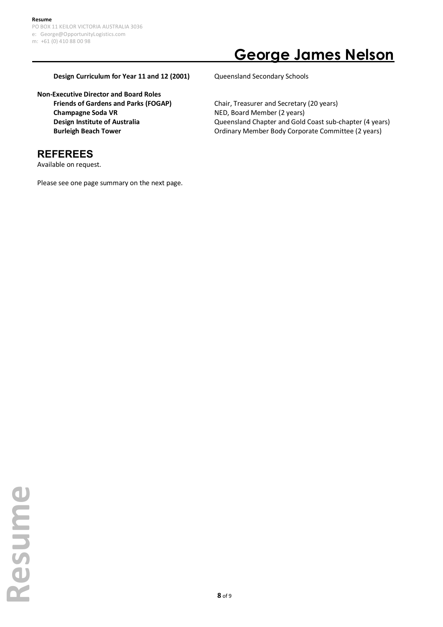# **George James Nelson**

#### **Design Curriculum for Year 11 and 12 (2001)** Queensland Secondary Schools

**Non-Executive Director and Board Roles Friends of Gardens and Parks (FOGAP)** Chair, Treasurer and Secretary (20 years) **Champagne Soda VR** NED, Board Member (2 years)

## **REFEREES**

Available on request.

Please see one page summary on the next page.

**Design Institute of Australia Communisty Constand Chapter and Gold Coast sub-chapter (4 years) Burleigh Beach Tower Committee (2 years)** Ordinary Member Body Corporate Committee (2 years)